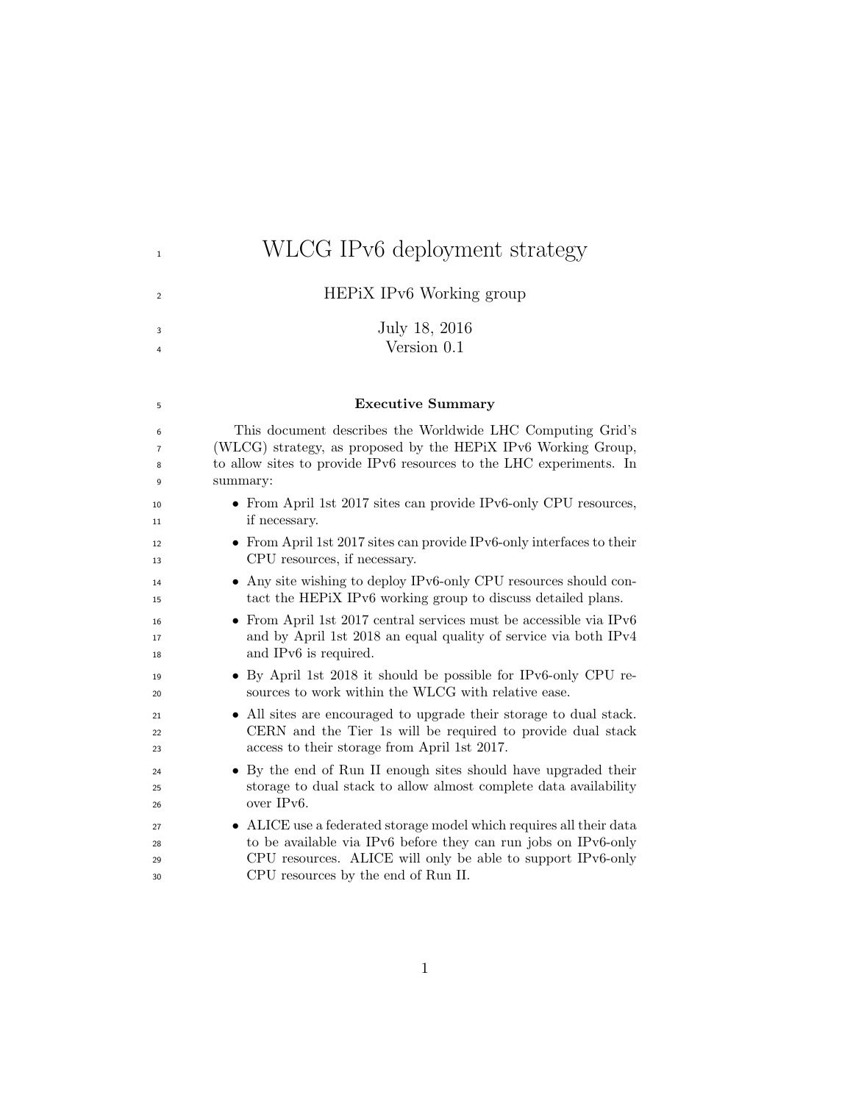# <sup>1</sup><br>WLCG IPv6 deployment strategy

<sup>2</sup> HEPiX IPv6 Working group

 July 18, 2016 Version 0.1

#### Executive Summary

 This document describes the Worldwide LHC Computing Grid's (WLCG) strategy, as proposed by the HEPiX IPv6 Working Group, to allow sites to provide IPv6 resources to the LHC experiments. In summary:

- From April 1st 2017 sites can provide IPv6-only CPU resources, if necessary.
- From April 1st 2017 sites can provide IPv6-only interfaces to their CPU resources, if necessary.
- Any site wishing to deploy IPv6-only CPU resources should con-tact the HEPiX IPv6 working group to discuss detailed plans.
- From April 1st 2017 central services must be accessible via IPv6 and by April 1st 2018 an equal quality of service via both IPv4 and IPv6 is required.
- By April 1st 2018 it should be possible for IPv6-only CPU re-sources to work within the WLCG with relative ease.
- All sites are encouraged to upgrade their storage to dual stack. CERN and the Tier 1s will be required to provide dual stack access to their storage from April 1st 2017.
- By the end of Run II enough sites should have upgraded their storage to dual stack to allow almost complete data availability over IPv6.
- ALICE use a federated storage model which requires all their data to be available via IPv6 before they can run jobs on IPv6-only CPU resources. ALICE will only be able to support IPv6-only CPU resources by the end of Run II.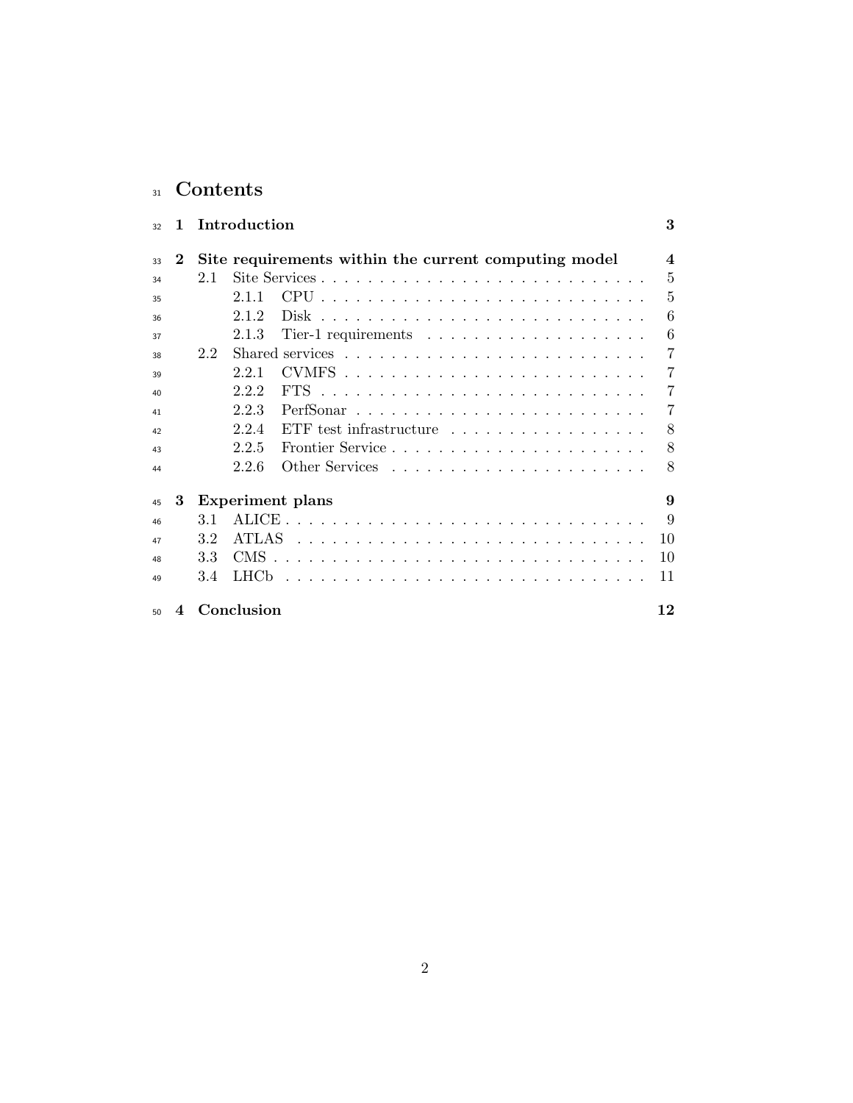# 31 Contents

| 32 | 1        | 3<br>Introduction                                                               |
|----|----------|---------------------------------------------------------------------------------|
| 33 | $\bf{2}$ | Site requirements within the current computing model<br>$\overline{\mathbf{4}}$ |
| 34 |          | 5<br>Site Services<br>2.1                                                       |
| 35 |          | 5<br>2.1.1                                                                      |
| 36 |          | 6<br>2.1.2                                                                      |
| 37 |          | 6<br>Tier-1 requirements $\ldots \ldots \ldots \ldots \ldots \ldots$<br>2.1.3   |
| 38 |          | 7<br>2.2                                                                        |
| 39 |          | 7<br>CVMFS.<br>2.2.1                                                            |
| 40 |          | 222<br>7                                                                        |
| 41 |          | 7<br>2.2.3                                                                      |
| 42 |          | 8<br>ETF test infrastructure $\ldots \ldots \ldots \ldots \ldots$<br>2.2.4      |
| 43 |          | 8<br>2.2.5                                                                      |
| 44 |          | 2.2.6<br>8                                                                      |
| 45 | 3        | <b>Experiment</b> plans<br>9                                                    |
| 46 |          | 9<br>3.1                                                                        |
| 47 |          | <b>ATLAS</b><br>10<br>3.2                                                       |
| 48 |          | 10<br>33                                                                        |
| 49 |          | 11<br>3.4                                                                       |
| 50 | 4        | Conclusion<br>12                                                                |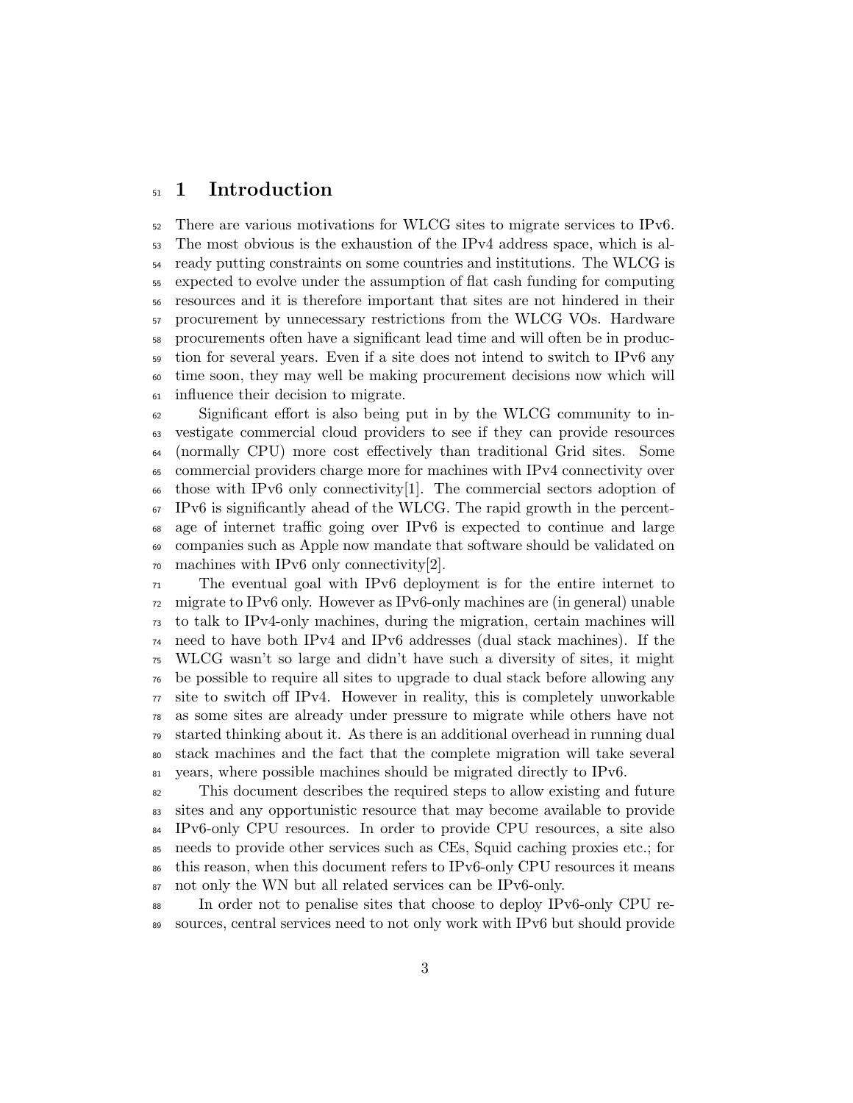## <sup>51</sup> 1 Introduction

 There are various motivations for WLCG sites to migrate services to IPv6. The most obvious is the exhaustion of the IPv4 address space, which is al- ready putting constraints on some countries and institutions. The WLCG is expected to evolve under the assumption of flat cash funding for computing resources and it is therefore important that sites are not hindered in their procurement by unnecessary restrictions from the WLCG VOs. Hardware procurements often have a significant lead time and will often be in produc- tion for several years. Even if a site does not intend to switch to IPv6 any time soon, they may well be making procurement decisions now which will influence their decision to migrate.

 Significant effort is also being put in by the WLCG community to in- vestigate commercial cloud providers to see if they can provide resources (normally CPU) more cost effectively than traditional Grid sites. Some commercial providers charge more for machines with IPv4 connectivity over those with IPv6 only connectivity[1]. The commercial sectors adoption of IPv6 is significantly ahead of the WLCG. The rapid growth in the percent- age of internet traffic going over IPv6 is expected to continue and large companies such as Apple now mandate that software should be validated on machines with IPv6 only connectivity[2].

 The eventual goal with IPv6 deployment is for the entire internet to migrate to IPv6 only. However as IPv6-only machines are (in general) unable to talk to IPv4-only machines, during the migration, certain machines will need to have both IPv4 and IPv6 addresses (dual stack machines). If the WLCG wasn't so large and didn't have such a diversity of sites, it might be possible to require all sites to upgrade to dual stack before allowing any site to switch off IPv4. However in reality, this is completely unworkable as some sites are already under pressure to migrate while others have not started thinking about it. As there is an additional overhead in running dual stack machines and the fact that the complete migration will take several years, where possible machines should be migrated directly to IPv6.

 This document describes the required steps to allow existing and future sites and any opportunistic resource that may become available to provide IPv6-only CPU resources. In order to provide CPU resources, a site also needs to provide other services such as CEs, Squid caching proxies etc.; for this reason, when this document refers to IPv6-only CPU resources it means not only the WN but all related services can be IPv6-only.

 In order not to penalise sites that choose to deploy IPv6-only CPU re-sources, central services need to not only work with IPv6 but should provide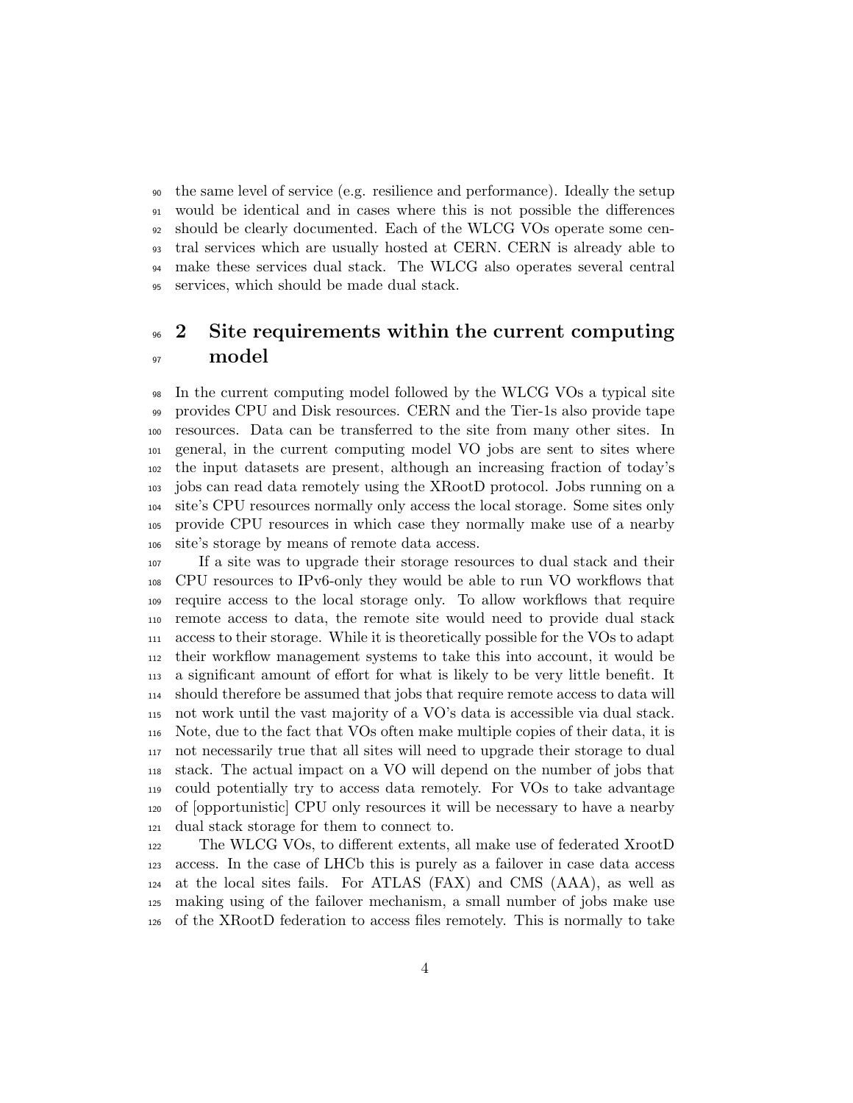the same level of service (e.g. resilience and performance). Ideally the setup would be identical and in cases where this is not possible the differences should be clearly documented. Each of the WLCG VOs operate some cen- tral services which are usually hosted at CERN. CERN is already able to make these services dual stack. The WLCG also operates several central services, which should be made dual stack.

# <sup>96</sup> 2 Site requirements within the current computing 97 model

 In the current computing model followed by the WLCG VOs a typical site provides CPU and Disk resources. CERN and the Tier-1s also provide tape resources. Data can be transferred to the site from many other sites. In general, in the current computing model VO jobs are sent to sites where the input datasets are present, although an increasing fraction of today's jobs can read data remotely using the XRootD protocol. Jobs running on a site's CPU resources normally only access the local storage. Some sites only provide CPU resources in which case they normally make use of a nearby site's storage by means of remote data access.

 If a site was to upgrade their storage resources to dual stack and their CPU resources to IPv6-only they would be able to run VO workflows that require access to the local storage only. To allow workflows that require remote access to data, the remote site would need to provide dual stack access to their storage. While it is theoretically possible for the VOs to adapt their workflow management systems to take this into account, it would be a significant amount of effort for what is likely to be very little benefit. It should therefore be assumed that jobs that require remote access to data will not work until the vast majority of a VO's data is accessible via dual stack. Note, due to the fact that VOs often make multiple copies of their data, it is not necessarily true that all sites will need to upgrade their storage to dual stack. The actual impact on a VO will depend on the number of jobs that could potentially try to access data remotely. For VOs to take advantage of [opportunistic] CPU only resources it will be necessary to have a nearby dual stack storage for them to connect to.

 The WLCG VOs, to different extents, all make use of federated XrootD access. In the case of LHCb this is purely as a failover in case data access at the local sites fails. For ATLAS (FAX) and CMS (AAA), as well as making using of the failover mechanism, a small number of jobs make use of the XRootD federation to access files remotely. This is normally to take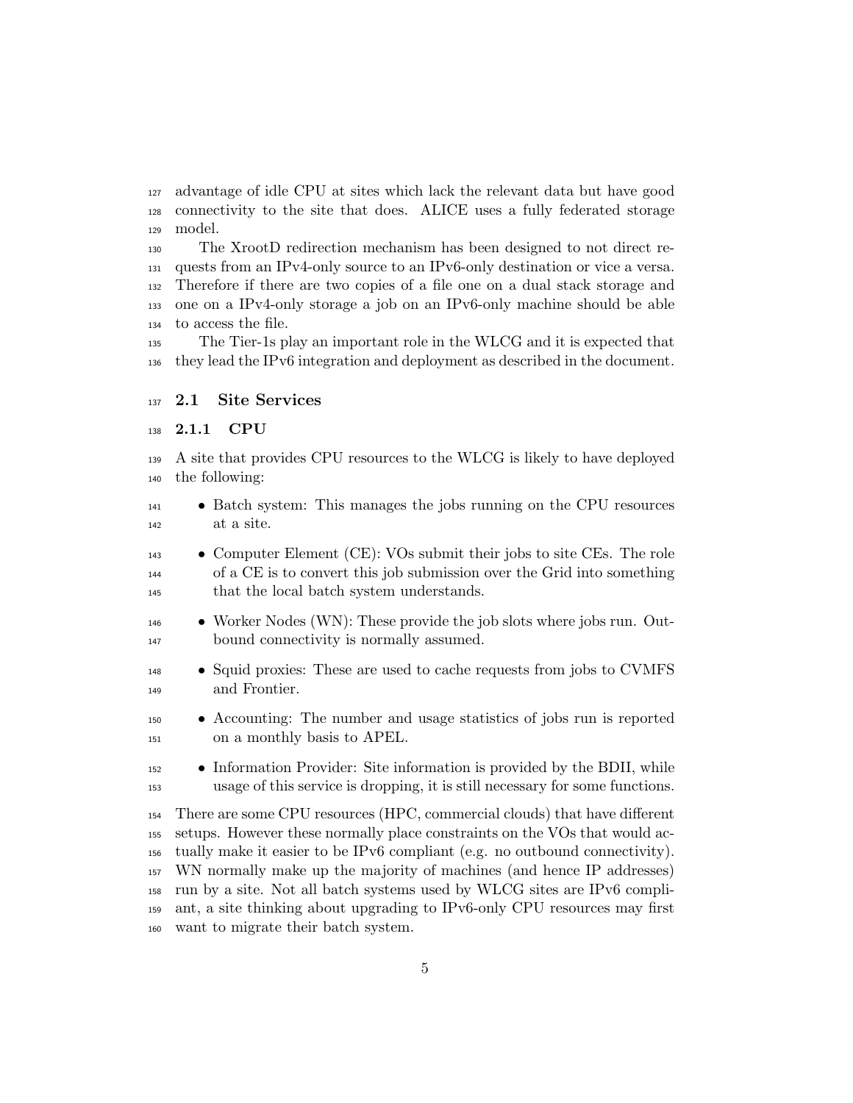advantage of idle CPU at sites which lack the relevant data but have good connectivity to the site that does. ALICE uses a fully federated storage model.

 The XrootD redirection mechanism has been designed to not direct re- quests from an IPv4-only source to an IPv6-only destination or vice a versa. Therefore if there are two copies of a file one on a dual stack storage and one on a IPv4-only storage a job on an IPv6-only machine should be able to access the file.

 The Tier-1s play an important role in the WLCG and it is expected that they lead the IPv6 integration and deployment as described in the document.

### 2.1 Site Services

#### 2.1.1 CPU

 A site that provides CPU resources to the WLCG is likely to have deployed the following:

- Batch system: This manages the jobs running on the CPU resources at a site.
- Computer Element (CE): VOs submit their jobs to site CEs. The role of a CE is to convert this job submission over the Grid into something that the local batch system understands.
- Worker Nodes (WN): These provide the job slots where jobs run. Out-bound connectivity is normally assumed.
- Squid proxies: These are used to cache requests from jobs to CVMFS and Frontier.
- Accounting: The number and usage statistics of jobs run is reported on a monthly basis to APEL.
- Information Provider: Site information is provided by the BDII, while usage of this service is dropping, it is still necessary for some functions.

 There are some CPU resources (HPC, commercial clouds) that have different setups. However these normally place constraints on the VOs that would ac- tually make it easier to be IPv6 compliant (e.g. no outbound connectivity). WN normally make up the majority of machines (and hence IP addresses) run by a site. Not all batch systems used by WLCG sites are IPv6 compli- ant, a site thinking about upgrading to IPv6-only CPU resources may first want to migrate their batch system.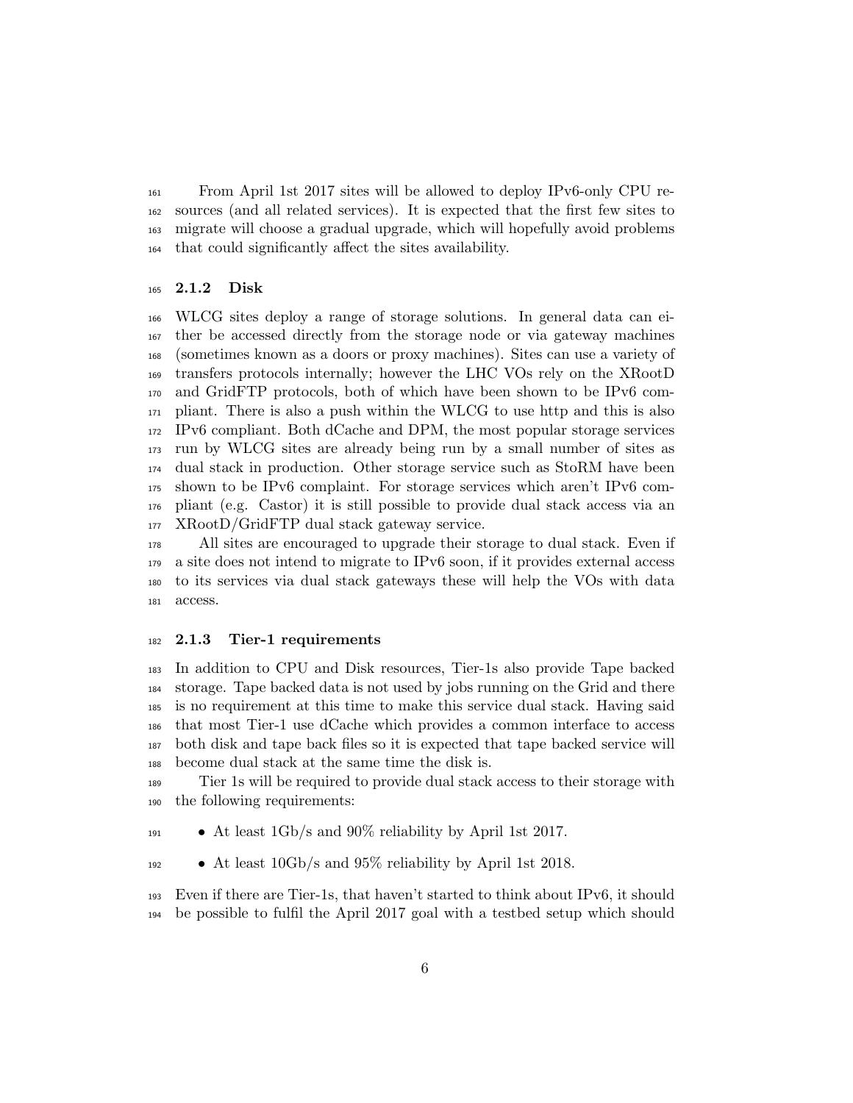From April 1st 2017 sites will be allowed to deploy IPv6-only CPU re- sources (and all related services). It is expected that the first few sites to migrate will choose a gradual upgrade, which will hopefully avoid problems that could significantly affect the sites availability.

#### 2.1.2 Disk

 WLCG sites deploy a range of storage solutions. In general data can ei- ther be accessed directly from the storage node or via gateway machines (sometimes known as a doors or proxy machines). Sites can use a variety of transfers protocols internally; however the LHC VOs rely on the XRootD and GridFTP protocols, both of which have been shown to be IPv6 com- pliant. There is also a push within the WLCG to use http and this is also IPv6 compliant. Both dCache and DPM, the most popular storage services run by WLCG sites are already being run by a small number of sites as dual stack in production. Other storage service such as StoRM have been shown to be IPv6 complaint. For storage services which aren't IPv6 com- pliant (e.g. Castor) it is still possible to provide dual stack access via an XRootD/GridFTP dual stack gateway service.

 All sites are encouraged to upgrade their storage to dual stack. Even if a site does not intend to migrate to IPv6 soon, if it provides external access to its services via dual stack gateways these will help the VOs with data access.

#### 2.1.3 Tier-1 requirements

 In addition to CPU and Disk resources, Tier-1s also provide Tape backed storage. Tape backed data is not used by jobs running on the Grid and there is no requirement at this time to make this service dual stack. Having said that most Tier-1 use dCache which provides a common interface to access both disk and tape back files so it is expected that tape backed service will become dual stack at the same time the disk is.

 Tier 1s will be required to provide dual stack access to their storage with the following requirements:

 $\bullet$  At least 1Gb/s and 90% reliability by April 1st 2017.

• At least 10Gb/s and 95% reliability by April 1st 2018.

 Even if there are Tier-1s, that haven't started to think about IPv6, it should be possible to fulfil the April 2017 goal with a testbed setup which should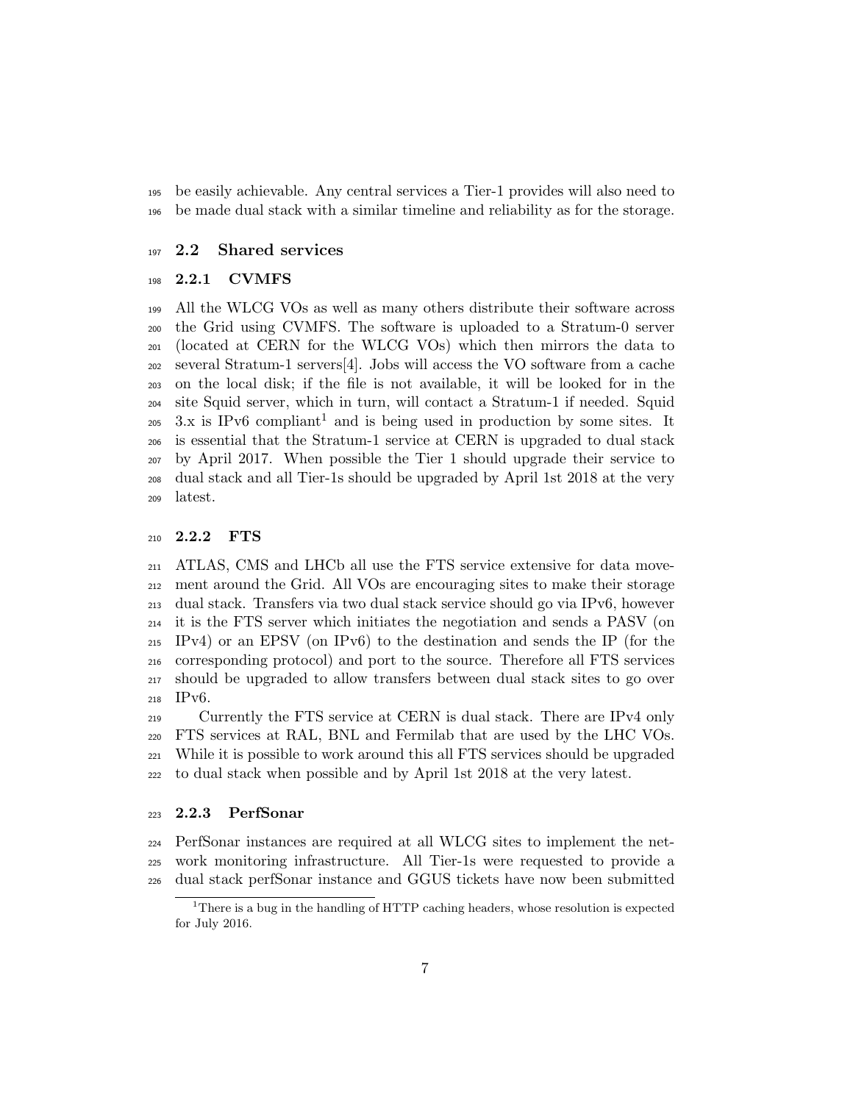be easily achievable. Any central services a Tier-1 provides will also need to be made dual stack with a similar timeline and reliability as for the storage.

#### 2.2 Shared services

#### 2.2.1 CVMFS

 All the WLCG VOs as well as many others distribute their software across the Grid using CVMFS. The software is uploaded to a Stratum-0 server (located at CERN for the WLCG VOs) which then mirrors the data to several Stratum-1 servers[4]. Jobs will access the VO software from a cache on the local disk; if the file is not available, it will be looked for in the site Squid server, which in turn, will contact a Stratum-1 if needed. Squid 3.x is IPv6 compliant<sup>1</sup> and is being used in production by some sites. It is essential that the Stratum-1 service at CERN is upgraded to dual stack by April 2017. When possible the Tier 1 should upgrade their service to dual stack and all Tier-1s should be upgraded by April 1st 2018 at the very latest.

#### 2.2.2 FTS

 ATLAS, CMS and LHCb all use the FTS service extensive for data move- ment around the Grid. All VOs are encouraging sites to make their storage dual stack. Transfers via two dual stack service should go via IPv6, however it is the FTS server which initiates the negotiation and sends a PASV (on IPv4) or an EPSV (on IPv6) to the destination and sends the IP (for the corresponding protocol) and port to the source. Therefore all FTS services should be upgraded to allow transfers between dual stack sites to go over IPv6.

 Currently the FTS service at CERN is dual stack. There are IPv4 only FTS services at RAL, BNL and Fermilab that are used by the LHC VOs. While it is possible to work around this all FTS services should be upgraded to dual stack when possible and by April 1st 2018 at the very latest.

#### 2.2.3 PerfSonar

 PerfSonar instances are required at all WLCG sites to implement the net- work monitoring infrastructure. All Tier-1s were requested to provide a dual stack perfSonar instance and GGUS tickets have now been submitted

<sup>&</sup>lt;sup>1</sup>There is a bug in the handling of HTTP caching headers, whose resolution is expected for July 2016.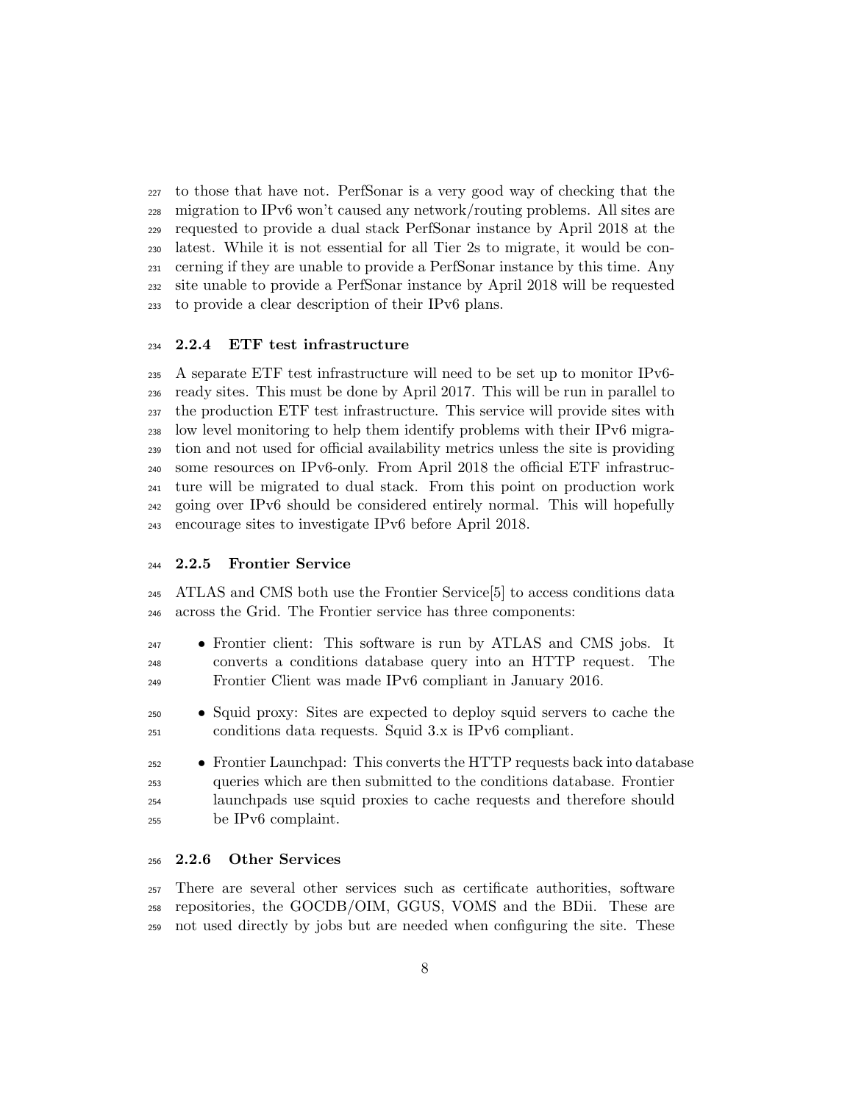to those that have not. PerfSonar is a very good way of checking that the migration to IPv6 won't caused any network/routing problems. All sites are requested to provide a dual stack PerfSonar instance by April 2018 at the latest. While it is not essential for all Tier 2s to migrate, it would be con- cerning if they are unable to provide a PerfSonar instance by this time. Any site unable to provide a PerfSonar instance by April 2018 will be requested to provide a clear description of their IPv6 plans.

#### 2.2.4 ETF test infrastructure

 A separate ETF test infrastructure will need to be set up to monitor IPv6- ready sites. This must be done by April 2017. This will be run in parallel to the production ETF test infrastructure. This service will provide sites with low level monitoring to help them identify problems with their IPv6 migra- tion and not used for official availability metrics unless the site is providing some resources on IPv6-only. From April 2018 the official ETF infrastruc- ture will be migrated to dual stack. From this point on production work going over IPv6 should be considered entirely normal. This will hopefully encourage sites to investigate IPv6 before April 2018.

#### 2.2.5 Frontier Service

 ATLAS and CMS both use the Frontier Service[5] to access conditions data across the Grid. The Frontier service has three components:

- Frontier client: This software is run by ATLAS and CMS jobs. It converts a conditions database query into an HTTP request. The Frontier Client was made IPv6 compliant in January 2016.
- Squid proxy: Sites are expected to deploy squid servers to cache the conditions data requests. Squid 3.x is IPv6 compliant.

 • Frontier Launchpad: This converts the HTTP requests back into database queries which are then submitted to the conditions database. Frontier launchpads use squid proxies to cache requests and therefore should be IPv6 complaint.

#### 2.2.6 Other Services

 There are several other services such as certificate authorities, software repositories, the GOCDB/OIM, GGUS, VOMS and the BDii. These are not used directly by jobs but are needed when configuring the site. These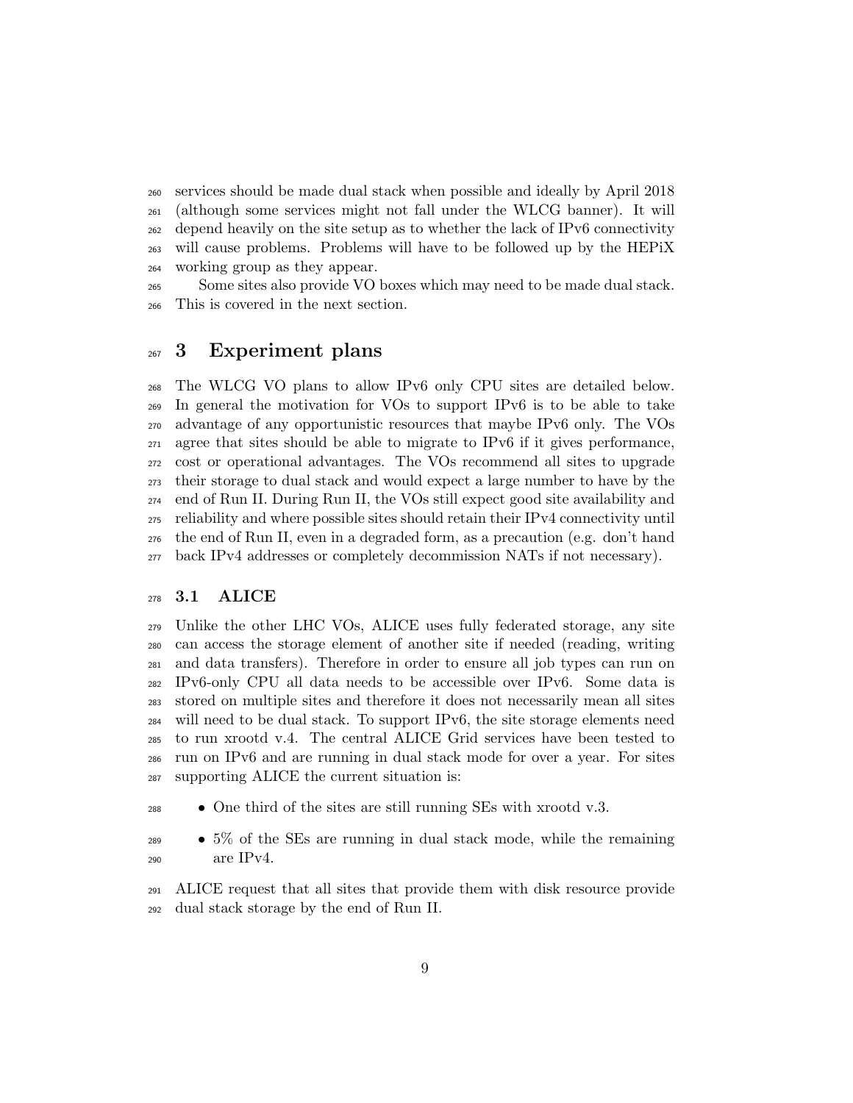services should be made dual stack when possible and ideally by April 2018 (although some services might not fall under the WLCG banner). It will depend heavily on the site setup as to whether the lack of IPv6 connectivity will cause problems. Problems will have to be followed up by the HEPiX working group as they appear.

 Some sites also provide VO boxes which may need to be made dual stack. This is covered in the next section.

## 267 3 Experiment plans

 The WLCG VO plans to allow IPv6 only CPU sites are detailed below. In general the motivation for VOs to support IPv6 is to be able to take advantage of any opportunistic resources that maybe IPv6 only. The VOs agree that sites should be able to migrate to IPv6 if it gives performance, cost or operational advantages. The VOs recommend all sites to upgrade their storage to dual stack and would expect a large number to have by the end of Run II. During Run II, the VOs still expect good site availability and reliability and where possible sites should retain their IPv4 connectivity until the end of Run II, even in a degraded form, as a precaution (e.g. don't hand back IPv4 addresses or completely decommission NATs if not necessary).

### 3.1 ALICE

 Unlike the other LHC VOs, ALICE uses fully federated storage, any site can access the storage element of another site if needed (reading, writing and data transfers). Therefore in order to ensure all job types can run on IPv6-only CPU all data needs to be accessible over IPv6. Some data is stored on multiple sites and therefore it does not necessarily mean all sites will need to be dual stack. To support IPv6, the site storage elements need to run xrootd v.4. The central ALICE Grid services have been tested to run on IPv6 and are running in dual stack mode for over a year. For sites supporting ALICE the current situation is:

• One third of the sites are still running SEs with xrootd v.3.

 • 5% of the SEs are running in dual stack mode, while the remaining are IPv4.

 ALICE request that all sites that provide them with disk resource provide dual stack storage by the end of Run II.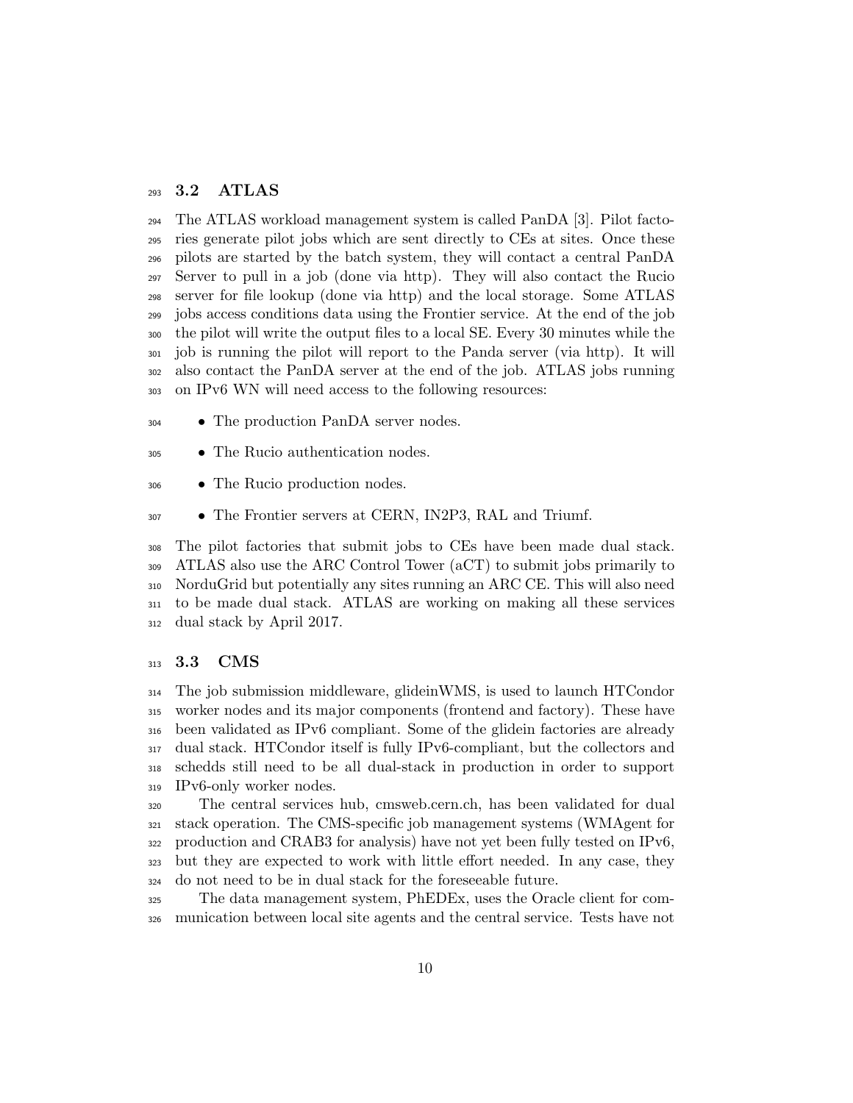### 3.2 ATLAS

 The ATLAS workload management system is called PanDA [3]. Pilot facto- ries generate pilot jobs which are sent directly to CEs at sites. Once these pilots are started by the batch system, they will contact a central PanDA Server to pull in a job (done via http). They will also contact the Rucio server for file lookup (done via http) and the local storage. Some ATLAS jobs access conditions data using the Frontier service. At the end of the job the pilot will write the output files to a local SE. Every 30 minutes while the job is running the pilot will report to the Panda server (via http). It will also contact the PanDA server at the end of the job. ATLAS jobs running on IPv6 WN will need access to the following resources:

- The production PanDA server nodes.
- The Rucio authentication nodes.
- The Rucio production nodes.
- The Frontier servers at CERN, IN2P3, RAL and Triumf.

 The pilot factories that submit jobs to CEs have been made dual stack. ATLAS also use the ARC Control Tower (aCT) to submit jobs primarily to NorduGrid but potentially any sites running an ARC CE. This will also need to be made dual stack. ATLAS are working on making all these services dual stack by April 2017.

#### 313 3.3 CMS

 The job submission middleware, glideinWMS, is used to launch HTCondor worker nodes and its major components (frontend and factory). These have been validated as IPv6 compliant. Some of the glidein factories are already dual stack. HTCondor itself is fully IPv6-compliant, but the collectors and schedds still need to be all dual-stack in production in order to support IPv6-only worker nodes.

 The central services hub, cmsweb.cern.ch, has been validated for dual stack operation. The CMS-specific job management systems (WMAgent for production and CRAB3 for analysis) have not yet been fully tested on IPv6, but they are expected to work with little effort needed. In any case, they do not need to be in dual stack for the foreseeable future.

 The data management system, PhEDEx, uses the Oracle client for com-munication between local site agents and the central service. Tests have not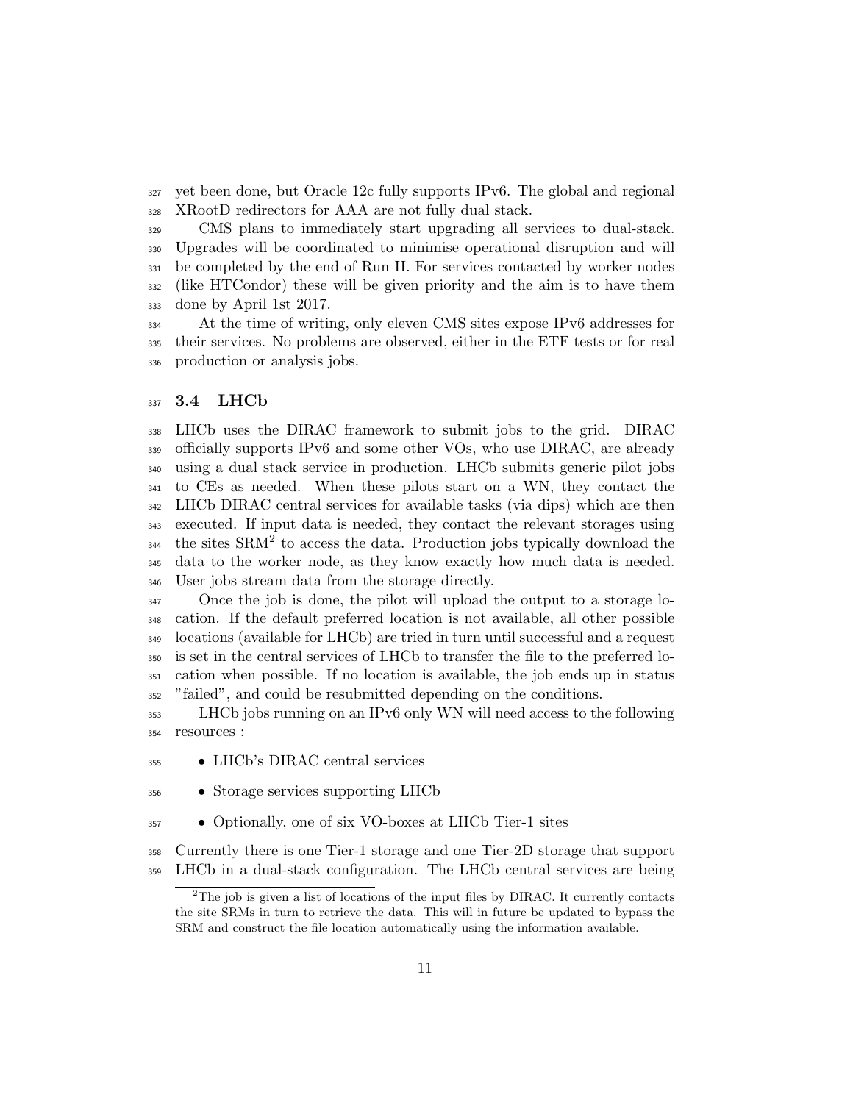yet been done, but Oracle 12c fully supports IPv6. The global and regional XRootD redirectors for AAA are not fully dual stack.

 CMS plans to immediately start upgrading all services to dual-stack. Upgrades will be coordinated to minimise operational disruption and will be completed by the end of Run II. For services contacted by worker nodes (like HTCondor) these will be given priority and the aim is to have them done by April 1st 2017.

 At the time of writing, only eleven CMS sites expose IPv6 addresses for their services. No problems are observed, either in the ETF tests or for real production or analysis jobs.

#### **3.4** LHCb

 LHCb uses the DIRAC framework to submit jobs to the grid. DIRAC officially supports IPv6 and some other VOs, who use DIRAC, are already using a dual stack service in production. LHCb submits generic pilot jobs to CEs as needed. When these pilots start on a WN, they contact the LHCb DIRAC central services for available tasks (via dips) which are then executed. If input data is needed, they contact the relevant storages using the sites SRM<sup>2</sup> to access the data. Production jobs typically download the data to the worker node, as they know exactly how much data is needed. User jobs stream data from the storage directly.

 Once the job is done, the pilot will upload the output to a storage lo- cation. If the default preferred location is not available, all other possible locations (available for LHCb) are tried in turn until successful and a request is set in the central services of LHCb to transfer the file to the preferred lo- cation when possible. If no location is available, the job ends up in status "failed", and could be resubmitted depending on the conditions.

 LHCb jobs running on an IPv6 only WN will need access to the following resources :

- LHCb's DIRAC central services
- Storage services supporting LHCb
- Optionally, one of six VO-boxes at LHCb Tier-1 sites

 Currently there is one Tier-1 storage and one Tier-2D storage that support LHCb in a dual-stack configuration. The LHCb central services are being

The job is given a list of locations of the input files by DIRAC. It currently contacts the site SRMs in turn to retrieve the data. This will in future be updated to bypass the SRM and construct the file location automatically using the information available.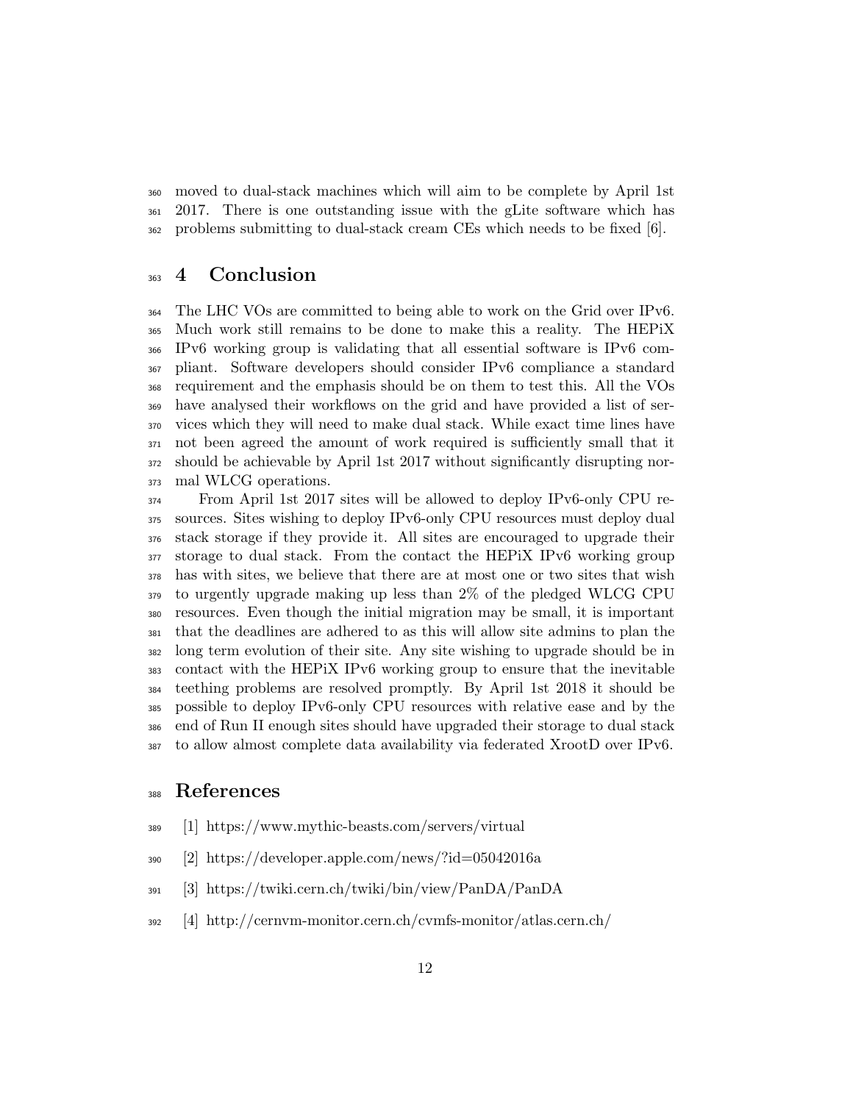moved to dual-stack machines which will aim to be complete by April 1st 2017. There is one outstanding issue with the gLite software which has problems submitting to dual-stack cream CEs which needs to be fixed [6].

## 4 Conclusion

 The LHC VOs are committed to being able to work on the Grid over IPv6. Much work still remains to be done to make this a reality. The HEPiX IPv6 working group is validating that all essential software is IPv6 com- pliant. Software developers should consider IPv6 compliance a standard requirement and the emphasis should be on them to test this. All the VOs have analysed their workflows on the grid and have provided a list of ser- vices which they will need to make dual stack. While exact time lines have not been agreed the amount of work required is sufficiently small that it should be achievable by April 1st 2017 without significantly disrupting nor-mal WLCG operations.

 From April 1st 2017 sites will be allowed to deploy IPv6-only CPU re- sources. Sites wishing to deploy IPv6-only CPU resources must deploy dual stack storage if they provide it. All sites are encouraged to upgrade their storage to dual stack. From the contact the HEPiX IPv6 working group has with sites, we believe that there are at most one or two sites that wish to urgently upgrade making up less than 2% of the pledged WLCG CPU resources. Even though the initial migration may be small, it is important that the deadlines are adhered to as this will allow site admins to plan the long term evolution of their site. Any site wishing to upgrade should be in contact with the HEPiX IPv6 working group to ensure that the inevitable teething problems are resolved promptly. By April 1st 2018 it should be possible to deploy IPv6-only CPU resources with relative ease and by the end of Run II enough sites should have upgraded their storage to dual stack to allow almost complete data availability via federated XrootD over IPv6.

## References

- [1] https://www.mythic-beasts.com/servers/virtual
- [2] https://developer.apple.com/news/?id=05042016a
- [3] https://twiki.cern.ch/twiki/bin/view/PanDA/PanDA
- [4] http://cernvm-monitor.cern.ch/cvmfs-monitor/atlas.cern.ch/